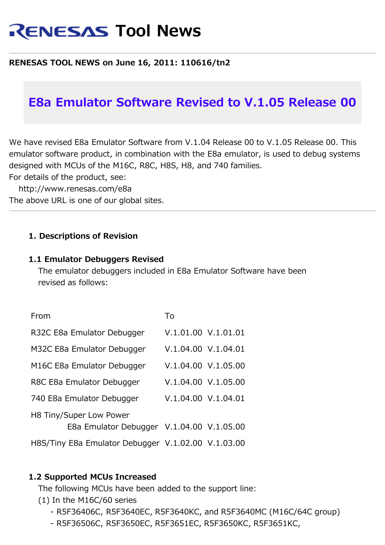# **RENESAS Tool News**

#### **RENESAS TOOL NEWS on June 16, 2011: 110616/tn2**

# **E8a Emulator Software Revised to V.1.05 Release 00**

We have revised E8a Emulator Software from V.1.04 Release 00 to V.1.05 Release 00. This emulator software product, in combination with the E8a emulator, is used to debug systems designed with MCUs of the M16C, R8C, H8S, H8, and 740 families.

For details of the product, see:

http://www.renesas.com/e8a

The above URL is one of our global sites.

#### **1. Descriptions of Revision**

#### **1.1 Emulator Debuggers Revised**

 The emulator debuggers included in E8a Emulator Software have been revised as follows:

| From                    |                                                    | To |                     |  |  |  |
|-------------------------|----------------------------------------------------|----|---------------------|--|--|--|
|                         | R32C E8a Emulator Debugger                         |    | V.1.01.00 V.1.01.01 |  |  |  |
|                         | M32C E8a Emulator Debugger                         |    | V.1.04.00 V.1.04.01 |  |  |  |
|                         | M16C E8a Emulator Debugger                         |    | V.1.04.00 V.1.05.00 |  |  |  |
|                         | R8C E8a Emulator Debugger                          |    | V.1.04.00 V.1.05.00 |  |  |  |
|                         | 740 E8a Emulator Debugger                          |    | V.1.04.00 V.1.04.01 |  |  |  |
| H8 Tiny/Super Low Power |                                                    |    |                     |  |  |  |
|                         | E8a Emulator Debugger V.1.04.00 V.1.05.00          |    |                     |  |  |  |
|                         | H8S/Tiny E8a Emulator Debugger V.1.02.00 V.1.03.00 |    |                     |  |  |  |

#### **1.2 Supported MCUs Increased**

The following MCUs have been added to the support line:

(1) In the M16C/60 series

- R5F36406C, R5F3640EC, R5F3640KC, and R5F3640MC (M16C/64C group)
- R5F36506C, R5F3650EC, R5F3651EC, R5F3650KC, R5F3651KC,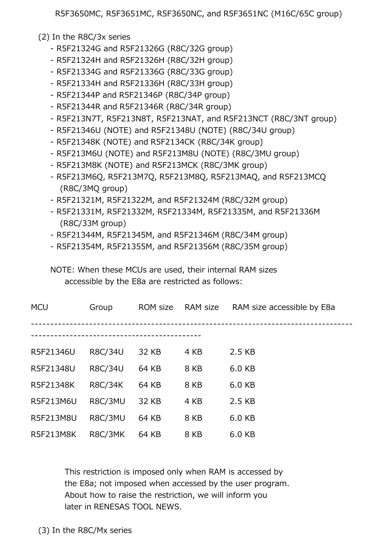R5F3650MC, R5F3651MC, R5F3650NC, and R5F3651NC (M16C/65C group)

(2) In the R8C/3x series

- R5F21324G and R5F21326G (R8C/32G group)
- R5F21324H and R5F21326H (R8C/32H group)
- R5F21334G and R5F21336G (R8C/33G group)
- R5F21334H and R5F21336H (R8C/33H group)
- R5F21344P and R5F21346P (R8C/34P group)
- R5F21344R and R5F21346R (R8C/34R group)
- R5F213N7T, R5F213N8T, R5F213NAT, and R5F213NCT (R8C/3NT group)
- R5F21346U (NOTE) and R5F21348U (NOTE) (R8C/34U group)
- R5F21348K (NOTE) and R5F2134CK (R8C/34K group)
- R5F213M6U (NOTE) and R5F213M8U (NOTE) (R8C/3MU group)
- R5F213M8K (NOTE) and R5F213MCK (R8C/3MK group)
- R5F213M6Q, R5F213M7Q, R5F213M8Q, R5F213MAQ, and R5F213MCQ (R8C/3MQ group)
- R5F21321M, R5F21322M, and R5F21324M (R8C/32M group)
- R5F21331M, R5F21332M, R5F21334M, R5F21335M, and R5F21336M (R8C/33M group)
- R5F21344M, R5F21345M, and R5F21346M (R8C/34M group)
- R5F21354M, R5F21355M, and R5F21356M (R8C/35M group)

 NOTE: When these MCUs are used, their internal RAM sizes accessible by the E8a are restricted as follows:

| <b>MCU</b> | Group          | ROM size | RAM size | RAM size accessible by E8a |  |
|------------|----------------|----------|----------|----------------------------|--|
|            |                |          |          |                            |  |
| R5F21346U  | R8C/34U        | 32 KB    | 4 KB     | 2.5 KB                     |  |
| R5F21348U  | <b>R8C/34U</b> | 64 KB    | 8 KB     | 6.0 KB                     |  |
| R5F21348K  | <b>R8C/34K</b> | 64 KB    | 8 KB     | 6.0 KB                     |  |
| R5F213M6U  | R8C/3MU        | 32 KB    | 4 KB     | 2.5 KB                     |  |
| R5F213M8U  | R8C/3MU        | 64 KB    | 8 KB     | 6.0 KB                     |  |
| R5F213M8K  | R8C/3MK        | 64 KB    | 8 KB     | 6.0 KB                     |  |

 This restriction is imposed only when RAM is accessed by the E8a; not imposed when accessed by the user program. About how to raise the restriction, we will inform you later in RENESAS TOOL NEWS.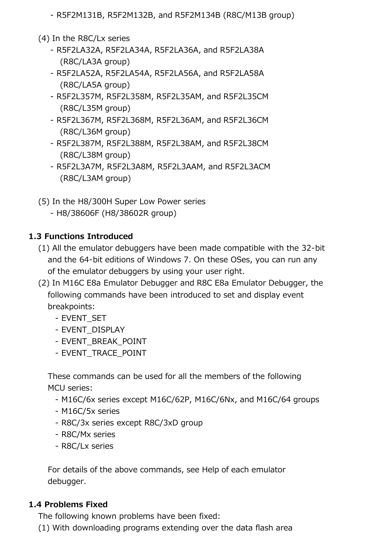- R5F2M131B, R5F2M132B, and R5F2M134B (R8C/M13B group)
- (4) In the R8C/Lx series
	- R5F2LA32A, R5F2LA34A, R5F2LA36A, and R5F2LA38A (R8C/LA3A group)
	- R5F2LA52A, R5F2LA54A, R5F2LA56A, and R5F2LA58A (R8C/LA5A group)
	- R5F2L357M, R5F2L358M, R5F2L35AM, and R5F2L35CM (R8C/L35M group)
	- R5F2L367M, R5F2L368M, R5F2L36AM, and R5F2L36CM (R8C/L36M group)
	- R5F2L387M, R5F2L388M, R5F2L38AM, and R5F2L38CM (R8C/L38M group)
	- R5F2L3A7M, R5F2L3A8M, R5F2L3AAM, and R5F2L3ACM (R8C/L3AM group)
- (5) In the H8/300H Super Low Power series
	- H8/38606F (H8/38602R group)

# **1.3 Functions Introduced**

- (1) All the emulator debuggers have been made compatible with the 32-bit and the 64-bit editions of Windows 7. On these OSes, you can run any of the emulator debuggers by using your user right.
- (2) In M16C E8a Emulator Debugger and R8C E8a Emulator Debugger, the following commands have been introduced to set and display event breakpoints:
	- EVENT\_SET
	- EVENT\_DISPLAY
	- EVENT\_BREAK\_POINT
	- EVENT\_TRACE\_POINT

 These commands can be used for all the members of the following MCU series:

- M16C/6x series except M16C/62P, M16C/6Nx, and M16C/64 groups
- M16C/5x series
- R8C/3x series except R8C/3xD group
- R8C/Mx series
- R8C/Lx series

 For details of the above commands, see Help of each emulator debugger.

#### **1.4 Problems Fixed**

The following known problems have been fixed:

(1) With downloading programs extending over the data flash area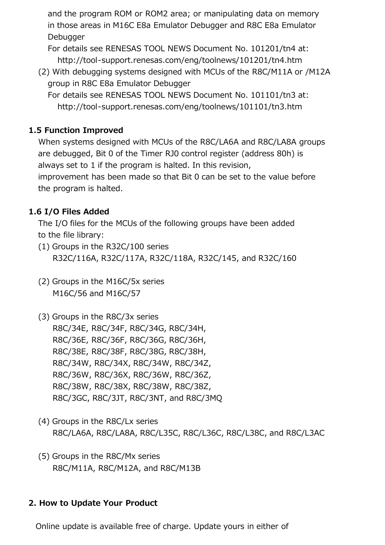and the program ROM or ROM2 area; or manipulating data on memory in those areas in M16C E8a Emulator Debugger and R8C E8a Emulator Debugger

 For details see RENESAS TOOL NEWS Document No. 101201/tn4 at: http://tool-support.renesas.com/eng/toolnews/101201/tn4.htm

 (2) With debugging systems designed with MCUs of the R8C/M11A or /M12A group in R8C E8a Emulator Debugger

 For details see RENESAS TOOL NEWS Document No. 101101/tn3 at: http://tool-support.renesas.com/eng/toolnews/101101/tn3.htm

# **1.5 Function Improved**

 When systems designed with MCUs of the R8C/LA6A and R8C/LA8A groups are debugged, Bit 0 of the Timer RJ0 control register (address 80h) is always set to 1 if the program is halted. In this revision, improvement has been made so that Bit 0 can be set to the value before the program is halted.

# **1.6 I/O Files Added**

 The I/O files for the MCUs of the following groups have been added to the file library:

- (1) Groups in the R32C/100 series R32C/116A, R32C/117A, R32C/118A, R32C/145, and R32C/160
- (2) Groups in the M16C/5x series M16C/56 and M16C/57
- (3) Groups in the R8C/3x series R8C/34E, R8C/34F, R8C/34G, R8C/34H, R8C/36E, R8C/36F, R8C/36G, R8C/36H, R8C/38E, R8C/38F, R8C/38G, R8C/38H, R8C/34W, R8C/34X, R8C/34W, R8C/34Z, R8C/36W, R8C/36X, R8C/36W, R8C/36Z, R8C/38W, R8C/38X, R8C/38W, R8C/38Z, R8C/3GC, R8C/3JT, R8C/3NT, and R8C/3MQ
- (4) Groups in the R8C/Lx series R8C/LA6A, R8C/LA8A, R8C/L35C, R8C/L36C, R8C/L38C, and R8C/L3AC
- (5) Groups in the R8C/Mx series R8C/M11A, R8C/M12A, and R8C/M13B

# **2. How to Update Your Product**

Online update is available free of charge. Update yours in either of